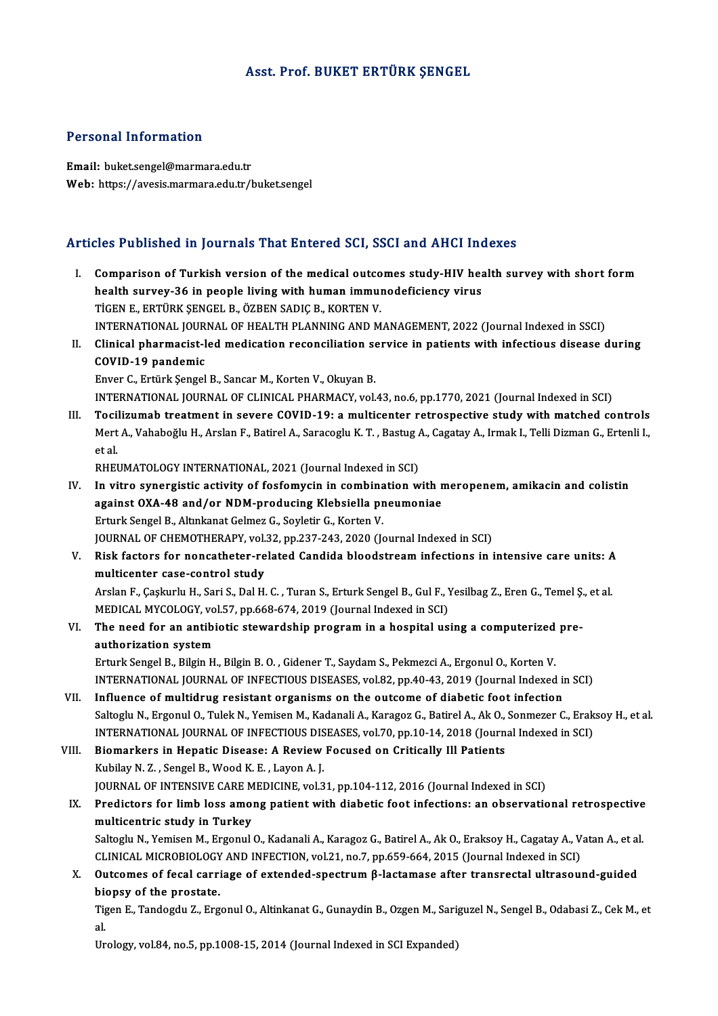### Asst. Prof. BUKET ERTÜRK ŞENGEL

#### Personal Information

Email: buket.sengel@marmara.edu.tr Web: https://avesis.marmara.edu.tr/buket.sengel

### Articles Published in Journals That Entered SCI, SSCI and AHCI Indexes

rticles Published in Journals That Entered SCI, SSCI and AHCI Indexes<br>I. Comparison of Turkish version of the medical outcomes study-HIV health survey with short form<br>health survey 36 in neaple living with buman immunedefi health survey-36 in pearlings after the medical outcomes study-HIV health survey-36 in people living with human immunodeficiency virus<br>Ticen F, eprilov SENCEL P, ÖZPEN SADIC B, VOPTEN V Comparison of Turkish version of the medical outco<br>health survey-36 in people living with human immul<br>TİGEN E., ERTÜRK ŞENGEL B., ÖZBEN SADIÇ B., KORTEN V.<br>INTERNATIONAL JOURNAL OF HEALTH BLANNING AND M health survey-36 in people living with human immunodeficiency virus<br>TİGEN E., ERTÜRK ŞENGEL B., ÖZBEN SADIÇ B., KORTEN V.<br>INTERNATIONAL JOURNAL OF HEALTH PLANNING AND MANAGEMENT, 2022 (Journal Indexed in SSCI)<br>Clinical pha TIGEN E., ERTÜRK ŞENGEL B., ÖZBEN SADIÇ B., KORTEN V.<br>INTERNATIONAL JOURNAL OF HEALTH PLANNING AND MANAGEMENT, 2022 (Journal Indexed in SSCI)<br>II. Clinical pharmacist-led medication reconciliation service in patients with i INTERNATIONAL JOUR<br>Clinical pharmacist-l<br>COVID-19 pandemic<br>Enver C. Entürk Sengel Clinical pharmacist-led medication reconciliation se<br>COVID-19 pandemic<br>Enver C., Ertürk Şengel B., Sancar M., Korten V., Okuyan B.<br>INTERNATIONAL JOURNAL OF CLINICAL PHARMACY vol. COVID-19 pandemic<br>Enver C., Ertürk Şengel B., Sancar M., Korten V., Okuyan B.<br>INTERNATIONAL JOURNAL OF CLINICAL PHARMACY, vol.43, no.6, pp.1770, 2021 (Journal Indexed in SCI) Enver C., Ertürk Şengel B., Sancar M., Korten V., Okuyan B.<br>INTERNATIONAL JOURNAL OF CLINICAL PHARMACY, vol.43, no.6, pp.1770, 2021 (Journal Indexed in SCI)<br>III. Tocilizumab treatment in severe COVID-19: a multicenter retr INTERNATIONAL JOURNAL OF CLINICAL PHARMACY, vol.43, no.6, pp.1770, 2021 (Journal Indexed in SCI)<br><mark>Tocilizumab treatment in severe COVID-19: a multicenter retrospective study with matched controls</mark><br>Mert A., Vahaboğlu H., Ar Toci<br>Mert<br>et al.<br>puer Mert A., Vahaboğlu H., Arslan F., Batirel A., Saracoglu K. T. , Bastug A., Cagatay A., Irmak I., Telli Dizman G., Ertenli I.,<br>et al.<br>RHEUMATOLOGY INTERNATIONAL, 2021 (Journal Indexed in SCI) et al.<br>IV. In vitro synergistic activity of fosfomycin in combination with meropenem, amikacin and colistin<br>IV. In vitro synergistic activity of fosfomycin in combination with meropenem, amikacin and colistin<br>against QVA 4 RHEUMATOLOGY INTERNATIONAL, 2021 (Journal Indexed in SCI)<br>In vitro synergistic activity of fosfomycin in combination with r<br>against OXA-48 and/or NDM-producing Klebsiella pneumoniae<br>Erturk Sengel B. Altralmat Colmer C. Sou In vitro synergistic activity of fosfomycin in combina<br>against OXA-48 and/or NDM-producing Klebsiella pr<br>Erturk Sengel B., Altınkanat Gelmez G., Soyletir G., Korten V.<br>JOUPMAL OF CHEMOTHERAPY VR133, PD.327,243,2020 (14 against OXA-48 and/or NDM-producing Klebsiella pneumoniae<br>Erturk Sengel B., Altınkanat Gelmez G., Soyletir G., Korten V.<br>JOURNAL OF CHEMOTHERAPY, vol.32, pp.237-243, 2020 (Journal Indexed in SCI) Erturk Sengel B., Altınkanat Gelmez G., Soyletir G., Korten V.<br>JOURNAL OF CHEMOTHERAPY, vol.32, pp.237-243, 2020 (Journal Indexed in SCI)<br>V. Risk factors for noncatheter-related Candida bloodstream infections in intens multicenter case-control study Risk factors for noncatheter-related Candida bloodstream infections in intensive care units: A<br>multicenter case-control study<br>Arslan F., Çaşkurlu H., Sari S., Dal H. C. , Turan S., Erturk Sengel B., Gul F., Yesilbag Z., Er Arslan F., Çaşkurlu H., Sari S., Dal H. C. , Turan S., Erturk Sengel B., Gul F., Yesilbag Z., Eren G., Temel Ş., et al.<br>MEDICAL MYCOLOGY, vol.57, pp.668-674, 2019 (Journal Indexed in SCI) Arslan F., Çaşkurlu H., Sari S., Dal H. C. , Turan S., Erturk Sengel B., Gul F., Yesilbag Z., Eren G., Temel Ş<br>MEDICAL MYCOLOGY, vol.57, pp.668-674, 2019 (Journal Indexed in SCI)<br>VI. The need for an antibiotic stewardship MEDICAL MYCOLOGY, vo<br>The need for an antibi<br>authorization system<br>Erturk Songel B. Bilgin H The need for an antibiotic stewardship program in a hospital using a computerized<br>authorization system<br>Erturk Sengel B., Bilgin H., Bilgin B. O. , Gidener T., Saydam S., Pekmezci A., Ergonul O., Korten V.<br>INTERNATIONAL JOU authorization system<br>Erturk Sengel B., Bilgin H., Bilgin B. O. , Gidener T., Saydam S., Pekmezci A., Ergonul O., Korten V.<br>INTERNATIONAL JOURNAL OF INFECTIOUS DISEASES, vol.82, pp.40-43, 2019 (Journal Indexed in SCI)<br>Influ Erturk Sengel B., Bilgin H., Bilgin B. O., Gidener T., Saydam S., Pekmezci A., Ergonul O., Korten V.<br>INTERNATIONAL JOURNAL OF INFECTIOUS DISEASES, vol.82, pp.40-43, 2019 (Journal Indexed in<br>VII. Influence of multidrug resi Influence of multidrug resistant organisms on the outcome of diabetic foot infection<br>Saltoglu N., Ergonul O., Tulek N., Yemisen M., Kadanali A., Karagoz G., Batirel A., Ak O., Sonmezer C., Eraksoy H., et al. Influence of multidrug resistant organisms on the outcome of diabetic foot infection<br>Saltoglu N., Ergonul O., Tulek N., Yemisen M., Kadanali A., Karagoz G., Batirel A., Ak O., Sonmezer C., Erak<br>INTERNATIONAL JOURNAL OF INF Saltoglu N., Ergonul O., Tulek N., Yemisen M., Kadanali A., Karagoz G., Batirel A., Ak O.,<br>INTERNATIONAL JOURNAL OF INFECTIOUS DISEASES, vol.70, pp.10-14, 2018 (Journ<br>VIII. Biomarkers in Hepatic Disease: A Review Focused o INTERNATIONAL JOURNAL OF INFECTIOUS DIS<br>Biomarkers in Hepatic Disease: A Review<br>Kubilay N.Z., Sengel B., Wood K.E., Layon A.J.<br>JOURNAL OF INTENSIVE CARE MEDICINE vol 2 Biomarkers in Hepatic Disease: A Review Focused on Critically Ill Patients<br>Kubilay N. Z. , Sengel B., Wood K. E. , Layon A. J.<br>JOURNAL OF INTENSIVE CARE MEDICINE, vol.31, pp.104-112, 2016 (Journal Indexed in SCI)<br>Predictor Kubilay N. Z. , Sengel B., Wood K. E. , Layon A. J.<br>JOURNAL OF INTENSIVE CARE MEDICINE, vol.31, pp.104-112, 2016 (Journal Indexed in SCI)<br>IX. Predictors for limb loss among patient with diabetic foot infections: an observa JOURNAL OF INTENSIVE CARE M<br>Predictors for limb loss amo:<br>multicentric study in Turkey<br>Saltogly N. Vomison M. Ergonyl Predictors for limb loss among patient with diabetic foot infections: an observational retrospective<br>multicentric study in Turkey<br>Saltoglu N., Yemisen M., Ergonul O., Kadanali A., Karagoz G., Batirel A., Ak O., Eraksoy H., multicentric study in Turkey<br>Saltoglu N., Yemisen M., Ergonul O., Kadanali A., Karagoz G., Batirel A., Ak O., Eraksoy H., Cagatay A., Vatan A., et al. X. Outcomes of fecal carriage of extended-spectrum  $\beta$ -lactamase after transrectal ultrasound-guided biopsy of the prostate. CLINICAL MICROBIOLOGY AND INFECTION, vol.21, no.7, pp.659-664, 2015 (Journal Indexed in SCI)

Tigen E., Tandogdu Z., Ergonul O., Altinkanat G., Gunaydin B., Ozgen M., Sariguzel N., Sengel B., Odabasi Z., Cek M., et<br>al. انا<br>Ti<br>II<br>IIr

Urology, vol.84, no.5, pp.1008-15, 2014 (Journal Indexed in SCI Expanded)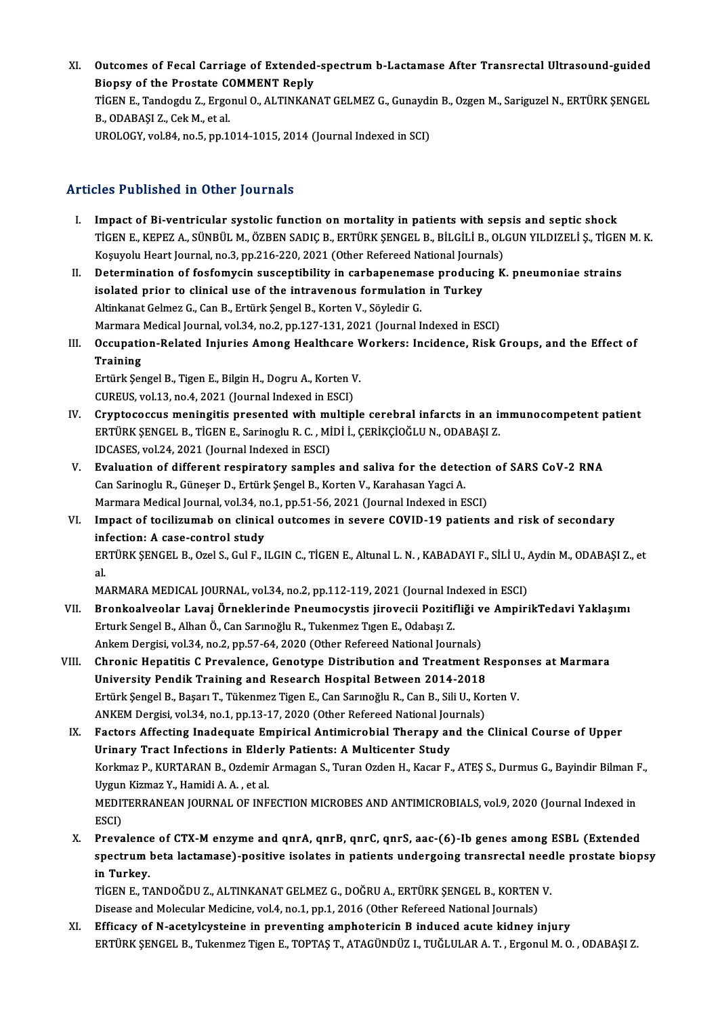XI. Outcomes of Fecal Carriage of Extended-spectrum b-Lactamase After Transrectal Ultrasound-guided<br>Riensy of the Prestate COMMENT Reply **Outcomes of Fecal Carriage of Extended<br>Biopsy of the Prostate COMMENT Reply<br>TicEN E. Tandesdy 7, Exsenyl O, ALTINKAN** Outcomes of Fecal Carriage of Extended-spectrum b-Lactamase After Transrectal Ultrasound-guided<br>Biopsy of the Prostate COMMENT Reply<br>TIGEN E., Tandogdu Z., Ergonul O., ALTINKANAT GELMEZ G., Gunaydin B., Ozgen M., Sariguzel Biopsy of the Prostate COMMENT Reply<br>TİGEN E., Tandogdu Z., Ergonul O., ALTINKANAT GELMEZ G., Gunaydin B., Ozgen M., Sariguzel N., ERTÜRK ŞENGEL<br>B., ODABAŞI Z., Cek M., et al. UROLOGY, vol.84, no.5, pp.1014-1015, 2014 (Journal Indexed in SCI)

## Articles Published in Other Journals

- I. Impact of Bi-ventricular systolic function onmortality in patients with sepsis and septic shock TİGENE.,KEPEZA.,SÜNBÜLM.,ÖZBENSADIÇB.,ERTÜRKŞENGELB.,BİLGİLİB.,OLGUNYILDIZELİ Ş.,TİGENM.K. Impact of Bi-ventricular systolic function on mortality in patients with sep<br>TİGEN E., KEPEZ A., SÜNBÜL M., ÖZBEN SADIÇ B., ERTÜRK ŞENGEL B., BİLGİLİ B., OL<br>Koşuyolu Heart Journal, no.3, pp.216-220, 2021 (Other Refereed Na TIGEN E., KEPEZ A., SÜNBÜL M., ÖZBEN SADIÇ B., ERTÜRK ŞENGEL B., BİLGİLİ B., OLGUN YILDIZELİ Ş., TIGEN<br>Koşuyolu Heart Journal, no.3, pp.216-220, 2021 (Other Refereed National Journals)<br>II. Determination of fosfomycin susce
- Koşuyolu Heart Journal, no.3, pp.216-220, 2021 (Other Refereed National Journ<br>Determination of fosfomycin susceptibility in carbapenemase producin<br>isolated prior to clinical use of the intravenous formulation in Turkey<br>Alt Determination of fosfomycin susceptibility in carbapenema<br>isolated prior to clinical use of the intravenous formulation<br>Altinkanat Gelmez G., Can B., Ertürk Şengel B., Korten V., Söyledir G.<br>Marmare Medical Journal val 24, isolated prior to clinical use of the intravenous formulation in Turkey<br>Altinkanat Gelmez G., Can B., Ertürk Şengel B., Korten V., Söyledir G.<br>Marmara Medical Journal, vol.34, no.2, pp.127-131, 2021 (Journal Indexed in ESC Altinkanat Gelmez G., Can B., Ertürk Şengel B., Korten V., Söyledir G.<br>Marmara Medical Journal, vol.34, no.2, pp.127-131, 2021 (Journal Indexed in ESCI)<br>III. Occupation-Related Injuries Among Healthcare Workers: Incidence,
- Marmara<br>Occupation<br>Training<br>Entürk Sot Occupation-Related Injuries Among Healthcare V<br>Training<br>Ertürk Şengel B., Tigen E., Bilgin H., Dogru A., Korten V.<br>CUPEUS xel 12 no.4, 2021 (Jaurnal Indeved in ESC).

Training<br>Ertürk Şengel B., Tigen E., Bilgin H., Dogru A., Korten V.<br>CUREUS, vol.13, no.4, 2021 (Journal Indexed in ESCI)

- IV. Cryptococcus meningitis presented with multiple cerebral infarcts in an immunocompetent patient CUREUS, vol.13, no.4, 2021 (Journal Indexed in ESCI)<br>Cryptococcus meningitis presented with multiple cerebral infarcts in an in<br>ERTÜRK ŞENGEL B., TİGEN E., Sarinoglu R. C. , MİDİ İ., ÇERİKÇİOĞLU N., ODABAŞI Z.<br>IDCASES .val Cryptococcus meningitis presented with m<br>ERTÜRK ŞENGEL B., TİGEN E., Sarinoglu R. C. , Mİ<br>IDCASES, vol.24, 2021 (Journal Indexed in ESCI)<br>Evaluation of different respiratory samples ERTÜRK ŞENGEL B., TİGEN E., Sarinoglu R. C. , MİDİ İ., ÇERİKÇİOĞLU N., ODABAŞI Z.<br>IDCASES, vol.24, 2021 (Journal Indexed in ESCI)<br>V. Evaluation of different respiratory samples and saliva for the detection of SARS CoV-2 RN
- IDCASES, vol.24, 2021 (Journal Indexed in ESCI)<br>**Evaluation of different respiratory samples and saliva for the dete**<br>Can Sarinoglu R., Güneşer D., Ertürk Şengel B., Korten V., Karahasan Yagci A.<br>Marmara Modical Journal, v Evaluation of different respiratory samples and saliva for the detection<br>Can Sarinoglu R., Güneşer D., Ertürk Şengel B., Korten V., Karahasan Yagci A.<br>Marmara Medical Journal, vol.34, no.1, pp.51-56, 2021 (Journal Indexed Can Sarinoglu R., Güneşer D., Ertürk Şengel B., Korten V., Karahasan Yagci A.<br>Marmara Medical Journal, vol.34, no.1, pp.51-56, 2021 (Journal Indexed in ESCI)<br>VI. Impact of tocilizumab on clinical outcomes in severe COVID-1
- Marmara Medical Journal, vol.34, no<br>Impact of tocilizumab on clinica<br>infection: A case-control study<br>EPTÜPL SENGEL B. OTALS, Cul E. L Impact of tocilizumab on clinical outcomes in severe COVID-19 patients and risk of secondary<br>infection: A case-control study<br>ERTÜRK ŞENGEL B., Ozel S., Gul F., ILGIN C., TİGEN E., Altunal L. N. , KABADAYI F., SİLİ U., Aydi in!<br>ER<br>al. ERTÜRK ŞENGEL B., Ozel S., Gul F., ILGIN C., TİGEN E., Altunal L. N. , KABADAYI F., SİLİ U., Aydin M., ODABAŞI Z., et<br>al.

- al.<br>MARMARA MEDICAL JOURNAL, vol.34, no.2, pp.112-119, 2021 (Journal Indexed in ESCI)<br>VII. Bronkoalveolar Lavaj Örneklerinde Pneumocystis jirovecii Pozitifliği ve AmpirikTedavi Yaklaşımı<br>Frivrk Sangel B. Alban Ö. Can S MARMARA MEDICAL JOURNAL, vol.34, no.2, pp.112-119, 2021 (Journal Indexed in ESCI)<br>Bronkoalveolar Lavaj Örneklerinde Pneumocystis jirovecii Pozitifliği ve Ampir<br>Erturk Sengel B., Alhan Ö., Can Sarınoğlu R., Tukenmez Tıgen E Bronkoalveolar Lavaj Örneklerinde Pneumocystis jirovecii Pozitifliği v<br>Erturk Sengel B., Alhan Ö., Can Sarınoğlu R., Tukenmez Tıgen E., Odabaşı Z.<br>Ankem Dergisi, vol.34, no.2, pp.57-64, 2020 (Other Refereed National Journa Erturk Sengel B., Alhan Ö., Can Sarınoğlu R., Tukenmez Tıgen E., Odabaşı Z.<br>Ankem Dergisi, vol.34, no.2, pp.57-64, 2020 (Other Refereed National Journals)<br>VIII. Chronic Hepatitis C Prevalence, Genotype Distribution and
- Ankem Dergisi, vol.34, no.2, pp.57-64, 2020 (Other Refereed National Journals)<br>Chronic Hepatitis C Prevalence, Genotype Distribution and Treatment R<br>University Pendik Training and Research Hospital Between 2014-2018<br>Ertürk Chronic Hepatitis C Prevalence, Genotype Distribution and Treatment Resport<br>University Pendik Training and Research Hospital Between 2014-2018<br>Ertürk Şengel B., Başarı T., Tükenmez Tigen E., Can Sarınoğlu R., Can B., Sili University Pendik Training and Research Hospital Between 2014-2018<br>Ertürk Şengel B., Başarı T., Tükenmez Tigen E., Can Sarınoğlu R., Can B., Sili U., Korten V.<br>ANKEM Dergisi, vol.34, no.1, pp.13-17, 2020 (Other Refereed Na Ertürk Şengel B., Başarı T., Tükenmez Tigen E., Can Sarınoğlu R., Can B., Sili U., Korten V.<br>ANKEM Dergisi, vol.34, no.1, pp.13-17, 2020 (Other Refereed National Journals)<br>IX. Factors Affecting Inadequate Empirical Antimic
- ANKEM Dergisi, vol.34, no.1, pp.13-17, 2020 (Other Refereed National Journal Control of Pactors Affecting Inadequate Empirical Antimicrobial Therapy and Urinary Tract Infections in Elderly Patients: A Multicenter Study<br>Ver Factors Affecting Inadequate Empirical Antimicrobial Therapy and the Clinical Course of Upper<br>Urinary Tract Infections in Elderly Patients: A Multicenter Study<br>Korkmaz P., KURTARAN B., Ozdemir Armagan S., Turan Ozden H., K Uri<mark>nary Tract Infections in Elde</mark><br>Korkmaz P., KURTARAN B., Ozdemir<br>Uygun Kizmaz Y., Hamidi A. A. , et al.<br>MEDITEPPANEAN IOUPNAL OF INF Korkmaz P., KURTARAN B., Ozdemir Armagan S., Turan Ozden H., Kacar F., ATEŞ S., Durmus G., Bayindir Bilman I<br>Uygun Kizmaz Y., Hamidi A. A. , et al.<br>MEDITERRANEAN JOURNAL OF INFECTION MICROBES AND ANTIMICROBIALS, vol.9, 202 Uygun Kizmaz Y., Hamidi A. A. , et al.<br>MEDITERRANEAN JOURNAL OF INFECTION MICROBES AND ANTIMICROBIALS, vol.9, 2020 (Journal Indexed in<br>ESCI) MEDITERRANEAN JOURNAL OF INFECTION MICROBES AND ANTIMICROBIALS, vol.9, 2020 (Journal Indexed in<br>ESCI)<br>X. Prevalence of CTX-M enzyme and qnrA, qnrB, qnrC, qnrS, aac-(6)-Ib genes among ESBL (Extended<br>apactuum hete lastemase)
- ESCI)<br>Prevalence of CTX-M enzyme and qnrA, qnrB, qnrC, qnrS, aac-(6)-Ib genes among ESBL (Extended<br>spectrum beta lactamase)-positive isolates in patients undergoing transrectal needle prostate biopsy<br>in Turkey Prevalence<br>spectrum<br>in Turkey.<br>TICEN E. T. spectrum beta lactamase)-positive isolates in patients undergoing transrectal need<br>in Turkey.<br>TİGEN E., TANDOĞDU Z., ALTINKANAT GELMEZ G., DOĞRU A., ERTÜRK ŞENGEL B., KORTEN V.<br>Dissess and Malagular Madisine yol 4 no.1 nn.

in Turkey.<br>TİGEN E., TANDOĞDU Z., ALTINKANAT GELMEZ G., DOĞRU A., ERTÜRK ŞENGEL B., KORTEN<br>Disease and Molecular Medicine, vol.4, no.1, pp.1, 2016 (Other Refereed National Journals)<br>Efficesu of N asetularateine in preventi

Disease and Molecular Medicine, vol.4, no.1, pp.1, 2016 (Other Refereed National Journals)<br>XI. Efficacy of N-acetylcysteine in preventing amphotericin B induced acute kidney injury ERTÜRK ŞENGEL B., Tukenmez Tigen E., TOPTAŞ T., ATAGÜNDÜZ I., TUĞLULAR A. T., Ergonul M. O., ODABAŞI Z.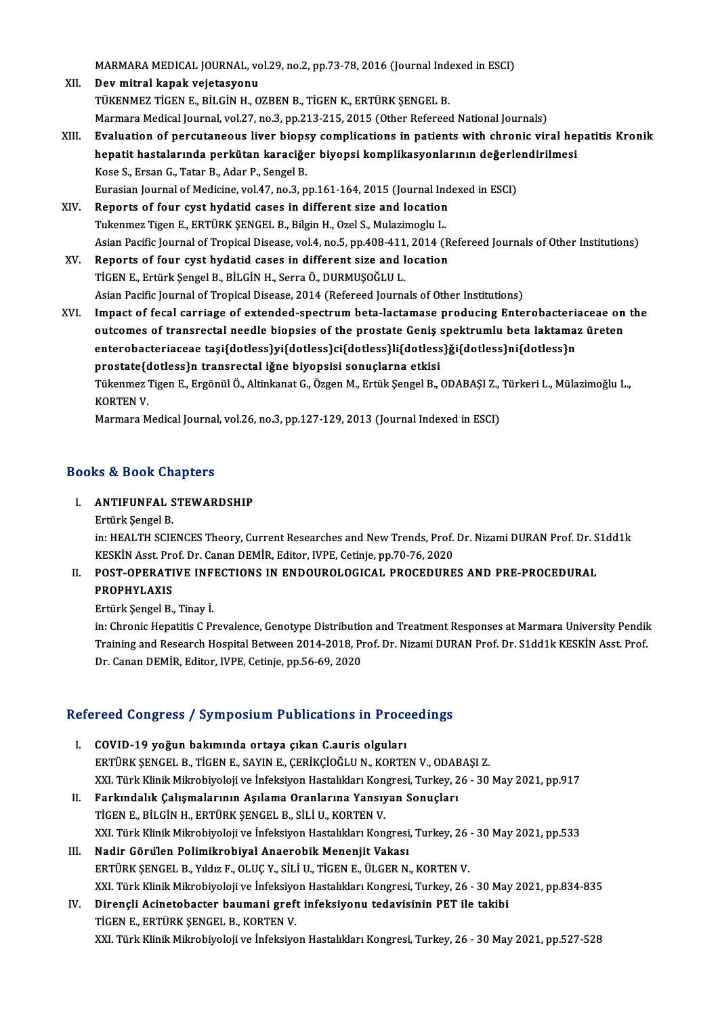MARMARA MEDICAL JOURNAL, vol.29, no.2, pp.73-78, 2016 (Journal Indexed in ESCI)<br>Pou mitral kanak voistasyonu

- MARMARA MEDICAL JOURNAL, vo<br>XII. Dev mitral kapak vejetasyonu<br> TÜVENMEZ TİCEN E BİLCİN H O MARMARA MEDICAL JOURNAL, vol.29, no.2, pp.73-78, 2016 (Journal Index mitral kapak vejetasyonu<br>Dev mitral kapak vejetasyonu<br>TÜKENMEZ TİGEN E., BİLGİN H., OZBEN B., TİGEN K., ERTÜRK ŞENGEL B.<br>Marmara Madisal Journal vol.27, XII. Dev mitral kapak vejetasyonu<br>TÜKENMEZ TİGEN E., BİLGİN H., OZBEN B., TİGEN K., ERTÜRK ŞENGEL B.<br>Marmara Medical Journal, vol.27, no.3, pp.213-215, 2015 (Other Refereed National Journals) TÜKENMEZ TİGEN E., BİLGİN H., OZBEN B., TİGEN K., ERTÜRK ŞENGEL B.<br>Marmara Medical Journal, vol.27, no.3, pp.213-215, 2015 (Other Refereed National Journals)<br>XIII. Byaluation of percutaneous liver biopsy complications in p
- Marmara Medical Journal, vol.27, no.3, pp.213-215, 2015 (Other Refereed National Journals)<br>Evaluation of percutaneous liver biopsy complications in patients with chronic viral he<sub>l</sub><br>hepatit hastalarında perkütan karaciğer Kose S., Ersan G., Tatar B., Adar P., Sengel B. hepatit hastalarında perkütan karaciğer biyopsi komplikasyonlarının değerlendirilmesi<br>Kose S., Ersan G., Tatar B., Adar P., Sengel B.<br>Eurasian Journal of Medicine, vol.47, no.3, pp.161-164, 2015 (Journal Indexed in ESCI)<br>R
- Eurasian Journal of Medicine, vol.47, no.3, pp.161-164, 2015 (Journal Indexed in ESCI)<br>XIV. Reports of four cyst hydatid cases in different size and location Tukenmez Tigen E., ERTÜRK ŞENGEL B., Bilgin H., Ozel S., Mulazimoglu L. Reports of four cyst hydatid cases in different size and location<br>Tukenmez Tigen E., ERTÜRK ŞENGEL B., Bilgin H., Ozel S., Mulazimoglu L.<br>Asian Pacific Journal of Tropical Disease, vol.4, no.5, pp.408-411, 2014 (Refereed J
- XV. Reports of four cyst hydatid cases in different size and location Asian Pacific Journal of Tropical Disease, vol.4, no.5, pp.408-411<br>Reports of four cyst hydatid cases in different size and l<br>TİGEN E., Ertürk Şengel B., BİLGİN H., Serra Ö., DURMUŞOĞLU L.<br>Asian Pasifis Journal of Tropisal Asian Pacific Journal of Tropical Disease, 2014 (Refereed Journals of Other Institutions) TİGEN E., Ertürk Şengel B., BİLGİN H., Serra Ö., DURMUŞOĞLU L.<br>Asian Pacific Journal of Tropical Disease, 2014 (Refereed Journals of Other Institutions)<br>XVI. Impact of fecal carriage of extended-spectrum beta-lactamase pro
- Asian Pacific Journal of Tropical Disease, 2014 (Refereed Journals of Other Institutions)<br>Impact of fecal carriage of extended-spectrum beta-lactamase producing Enterobacteriaceae on<br>outcomes of transrectal needle biopsies Impact of fecal carriage of extended-spectrum beta-lactamase producing Enterobacteria<br>outcomes of transrectal needle biopsies of the prostate Geniş spektrumlu beta laktama:<br>enterobacteriaceae taşi{dotless}yi{dotless}ci{dot outcomes of transrectal needle biopsies of the prostate Geniş :<br>enterobacteriaceae taşi{dotless}yi{dotless}ci{dotless}li{dotless<br>prostate{dotless}n transrectal iğne biyopsisi sonuçlarna etkisi<br>Tükonmas Tisan E. Exsânül Ö. enterobacteriaceae taşi{dotless}yi{dotless}ci{dotless}li{dotless}ği{dotless}ni{dotless}n<br>prostate{dotless}n transrectal iğne biyopsisi sonuçlarna etkisi<br>Tükenmez Tigen E., Ergönül Ö., Altinkanat G., Özgen M., Ertük Şengel prostate{d<br>Tükenmez<br>KORTEN V.<br>Marmara M Tükenmez Tigen E., Ergönül Ö., Altinkanat G., Özgen M., Ertük Şengel B., ODABAŞI Z.,<br>KORTEN V.<br>Marmara Medical Journal, vol.26, no.3, pp.127-129, 2013 (Journal Indexed in ESCI)

Marmara Medical Journal, vol.26, no.3, pp.127-129, 2013 (Journal Indexed in ESCI)<br>Books & Book Chapters

# ooks & Book Chapters<br>I. ANTIFUNFAL STEWARDSHIP Ertürk Şengel<br>B. B. Sengel<br>B. B. B. Sengel<br>B. B. B. B. B. The Science

ANTIFUNFAL STEWARDSHIP<br>Ertürk Şengel B.<br>in: HEALTH SCIENCES Theory, Current Researches and New Trends, Prof. Dr. Nizami DURAN Prof. Dr. S1dd1k<br>KESKİN Asst. Prof. Dr. Ganan DEMİR, Editor. IVPE. Cetinia. pp. 76–2020 Ertürk Şengel B.<br>in: HEALTH SCIENCES Theory, Current Researches and New Trends, Prof.<br>KESKİN Asst. Prof. Dr. Canan DEMİR, Editor, IVPE, Cetinje, pp.70-76, 2020<br>POST. OPERATIVE, INEECTIONS, IN ENDOUROLOCICAL, PROCEDUPE in: HEALTH SCIENCES Theory, Current Researches and New Trends, Prof. Dr. Nizami DURAN Prof. Dr. S<br>KESKİN Asst. Prof. Dr. Canan DEMİR, Editor, IVPE, Cetinje, pp.70-76, 2020<br>II. POST-OPERATIVE INFECTIONS IN ENDOUROLOGICAL PR

# KESKIN Asst. Pro<br>POS<mark>T-OPERATI</mark><br>PROPHYLAXIS<br>Ertürk Songel B PROPHYLAXIS<br>Ertürk Şengel B., Tinay İ.

in: Chronic Hepatitis C Prevalence, Genotype Distribution and Treatment Responses at Marmara University Pendik Training and Research Hospital Between 2014-2018, Prof. Dr. Nizami DURAN Prof. Dr. S1dd1k KESKİN Asst. Prof. Dr. Canan DEMİR, Editor, IVPE, Cetinje, pp.56-69, 2020

# рг. сапап DEMIR, Editor, IVPE, Cettifie, pp.56-69, 2020<br>Refereed Congress / Symposium Publications in Proceedings

- efereed Congress / Symposium Publications in Proce<br>I. COVID-19 yoğun bakımında ortaya çıkan C.auris olguları<br>ERTÜRK SENCEL B. TİCEN E. SAVIN E. CERİKÇİQĞLUN KORTE I. COVID-19 yoğun bakımında ortaya çıkan C.auris olguları<br>ERTÜRK ŞENGEL B., TİGEN E., SAYIN E., ÇERİKÇİOĞLU N., KORTEN V., ODABAŞI Z. XXI. Türk Klinik Mikrobiyoloji ve İnfeksiyon Hastalıkları Kongresi, Turkey, 26 - 30 May 2021, pp.917 ERTÜRK ŞENGEL B., TİGEN E., SAYIN E., ÇERİKÇİOĞLU N., KORTEN V., ODAE<br>XXI. Türk Klinik Mikrobiyoloji ve İnfeksiyon Hastalıkları Kongresi, Turkey, 2<br>II. Farkındalık Çalışmalarının Aşılama Oranlarına Yansıyan Sonuçları<br>TİCEN
- XXI. Türk Klinik Mikrobiyoloji ve İnfeksiyon Hastalıkları Kon<br>Farkındalık Çalışmalarının Aşılama Oranlarına Yansıy<br>TİGEN E., BİLGİN H., ERTÜRK ŞENGEL B., SİLİ U., KORTEN V.<br>YYL Türk Klinik Milrobiyoloji ve İnfeksiyon Hasta TİGEN E., BİLGİN H., ERTÜRK ŞENGEL B., SİLİ U., KORTEN V.<br>XXI. Türk Klinik Mikrobiyoloji ve İnfeksiyon Hastalıkları Kongresi, Turkey, 26 - 30 May 2021, pp.533
- III. Nadir Görülen Polimikrobiyal Anaerobik Menenjit Vakası ERTÜRK ŞENGEL B., Yıldız F., OLUÇ Y., SİLİ U., TİGEN E., ÜLGER N., KORTEN V. XXI. Türk Klinik Mikrobiyoloji ve İnfeksiyon Hastalıkları Kongresi, Turkey, 26 - 30 May 2021, pp.834-835 ERTÜRK ŞENGEL B., Yıldız F., OLUÇ Y., SİLİ U., TİGEN E., ÜLGER N., KORTEN V.<br>XXI. Türk Klinik Mikrobiyoloji ve İnfeksiyon Hastalıkları Kongresi, Turkey, 26 - 30 May<br>IV. Dirençli Acinetobacter baumani greft infeksiyonu teda
- XXI. Türk Klinik Mikrobiyoloji ve İnfeksiyo<br>Dirençli Acinetobacter baumani greft<br>TİGEN E., ERTÜRK ŞENGEL B., KORTEN V.<br>YYL Türk Klinik Mikrobiyoloji ve İnfeksiyo TİGEN E., ERTÜRK ŞENGEL B., KORTEN V.<br>XXI. Türk Klinik Mikrobiyoloji ve İnfeksiyon Hastalıkları Kongresi, Turkey, 26 - 30 May 2021, pp.527-528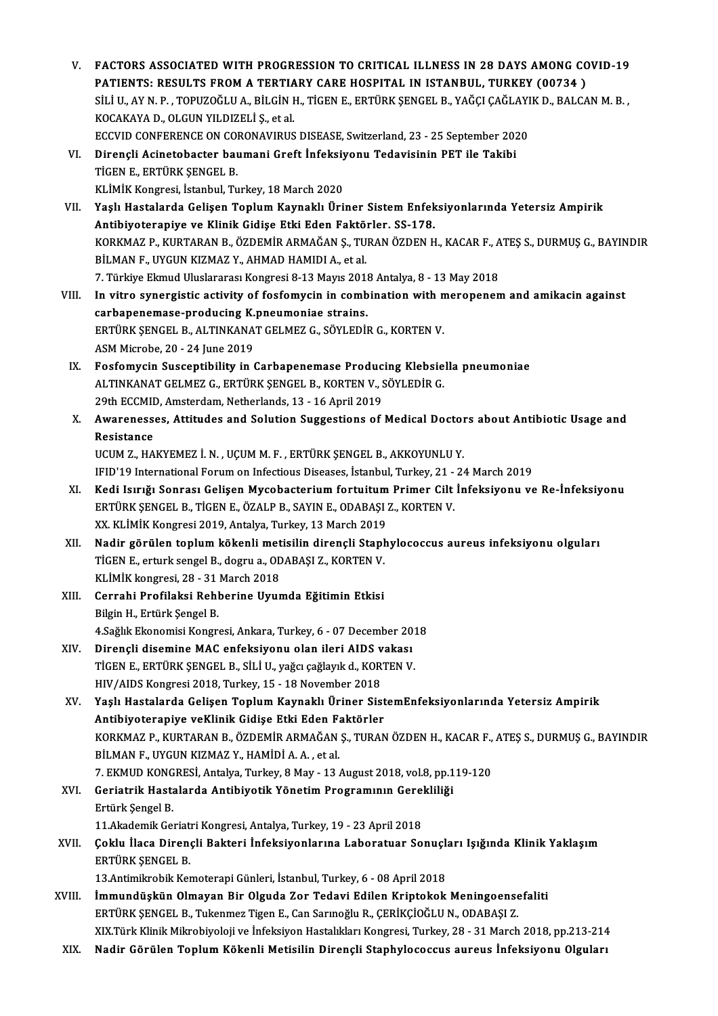- V. FACTORS ASSOCIATED WITH PROGRESSION TO CRITICAL ILLNESS IN 28 DAYS AMONG COVID-19 FACTORS ASSOCIATED WITH PROGRESSION TO CRITICAL ILLNESS IN 28 DAYS AMONG CONTRIENTS: RESULTS FROM A TERTIARY CARE HOSPITAL IN ISTANBUL, TURKEY (00734 ) FACTORS ASSOCIATED WITH PROGRESSION TO CRITICAL ILLNESS IN 28 DAYS AMONG COVID-19<br>PATIENTS: RESULTS FROM A TERTIARY CARE HOSPITAL IN ISTANBUL, TURKEY (00734 )<br>SİLİ U., AY N. P. , TOPUZOĞLU A., BİLGİN H., TİGEN E., ERTÜRK Ş PATIENTS: RESULTS FROM A TERTIA<br>SİLİ U., AY N. P. , TOPUZOĞLU A., BİLGİN I<br>KOCAKAYA D., OLGUN YILDIZELİ Ş., et al.<br>ECCUID CONEERENCE ON CORONAVIRUS SİLİ U., AY N. P. , TOPUZOĞLU A., BİLGİN H., TİGEN E., ERTÜRK ŞENGEL B., YAĞÇI ÇAĞLAYI<br>KOCAKAYA D., OLGUN YILDIZELİ Ş., et al.<br>ECCVID CONFERENCE ON CORONAVIRUS DISEASE, Switzerland, 23 - 25 September 2020<br>Dirangli Asinatab KOCAKAYA D., OLGUN YILDIZELİ Ş., et al.<br>ECCVID CONFERENCE ON CORONAVIRUS DISEASE, Switzerland, 23 - 25 September 202<br>VI. Dirençli Acinetobacter baumani Greft İnfeksiyonu Tedavisinin PET ile Takibi<br>TİCEN E. ERTÜRK SENCEL B
- ECCVID CONFERENCE ON CORONAVIRUS DISEASE, Switzerland, 23 25 September 2020<br>Dirençli Acinetobacter baumani Greft İnfeksiyonu Tedavisinin PET ile Takibi<br>TİGEN E., ERTÜRK ŞENGEL B.<br>KLİMİK Kongresi, İstanbul, Turkey, 18 Mar Dirençli Acinetobacter baumani Greft İnfeksiy<br>TİGEN E., ERTÜRK ŞENGEL B.<br>KLİMİK Kongresi, İstanbul, Turkey, 18 March 2020<br>Yaslı Hastalarda Calisen Tenlum Kaunaklı Üri TİGEN E., ERTÜRK ŞENGEL B.<br>KLİMİK Kongresi, İstanbul, Turkey, 18 March 2020<br>VII. Yaşlı Hastalarda Gelişen Toplum Kaynaklı Üriner Sistem Enfeksiyonlarında Yetersiz Ampirik<br>Antibiyoteraniya ve Klinik Gidise Etki Eden Fek
- KLİMİK Kongresi, İstanbul, Turkey, 18 March 2020<br>Yaşlı Hastalarda Gelişen Toplum Kaynaklı Üriner Sistem Enfek<br>Antibiyoterapiye ve Klinik Gidişe Etki Eden Faktörler. SS-178.<br>KORKMAZ B. KURTARAN B. ÖZDEMİR ARMAĞAN S. TURAN Ö Yaşlı Hastalarda Gelişen Toplum Kaynaklı Üriner Sistem Enfeksiyonlarında Yetersiz Ampirik<br>Antibiyoterapiye ve Klinik Gidişe Etki Eden Faktörler. SS-178.<br>KORKMAZ P., KURTARAN B., ÖZDEMİR ARMAĞAN Ş., TURAN ÖZDEN H., KACAR F. Antibiyoterapiye ve Klinik Gidişe Etki Eden Faktörler. SS-178.<br>KORKMAZ P., KURTARAN B., ÖZDEMİR ARMAĞAN Ş., TURAN ÖZDEN H., KACAR F., A<br>BİLMAN F., UYGUN KIZMAZ Y., AHMAD HAMIDI A., et al.<br>7. Türkiye Ekmud Uluslararası Kong KORKMAZ P., KURTARAN B., ÖZDEMİR ARMAĞAN Ş., TURAN ÖZDEN H., KACAR F., A<br>BİLMAN F., UYGUN KIZMAZ Y., AHMAD HAMIDI A., et al.<br>7. Türkiye Ekmud Uluslararası Kongresi 8-13 Mayıs 2018 Antalya, 8 - 13 May 2018<br>In uitre sunergis BİLMAN F., UYGUN KIZMAZ Y., AHMAD HAMIDI A., et al.<br>7. Türkiye Ekmud Uluslararası Kongresi 8-13 Mayıs 2018 Antalya, 8 - 13 May 2018<br>VIII. In vitro synergistic activity of fosfomycin in combination with meropenem and amikac
- 7. Türkiye Ekmud Uluslararası Kongresi 8-13 Mayıs 2011<br>In vitro synergistic activity of fosfomycin in comb<br>carbapenemase-producing K.pneumoniae strains.<br>EPTÜPK SENCEL B. ALTINKANAT CELMEZ G. SÖVLEDİL In vitro synergistic activity of fosfomycin in combination with n<br>carbapenemase-producing K.pneumoniae strains.<br>ERTÜRK ŞENGEL B., ALTINKANAT GELMEZ G., SÖYLEDİR G., KORTEN V.<br>ASM Mianaba 20, 24 June 2019. carbapenemase-producing K.pneumoniae strains.<br>ERTÜRK ŞENGEL B., ALTINKANAT GELMEZ G., SÖYLEDİR G., KORTEN V.<br>ASM Microbe, 20 - 24 June 2019
- IX. Fosfomycin Susceptibility in Carbapenemase Producing Klebsiella pneumoniae ASM Microbe, 20 - 24 June 2019<br>Fosfomycin Susceptibility in Carbapenemase Producing Klebsie<br>ALTINKANAT GELMEZ G., ERTÜRK ŞENGEL B., KORTEN V., SÖYLEDİR G.<br>20th ECCMID Amsterdam Netherlands 12, 16 April 2010 Fosfomycin Susceptibility in Carbapenemase Produc<br>ALTINKANAT GELMEZ G., ERTÜRK ŞENGEL B., KORTEN V., 9<br>29th ECCMID, Amsterdam, Netherlands, 13 - 16 April 2019<br>Ayyanoosooo, Attitudes and Solution Sussestions of 29th ECCMID, Amsterdam, Netherlands, 13 - 16 April 2019
- X. Awarenesses, Attitudes and Solution Suggestions of Medical Doctors about Antibiotic Usage and<br>Resistance

UCUM Z., HAKYEMEZ İ. N., UÇUMM.F., ERTÜRK ŞENGEL B., AKKOYUNLUY. Resistance<br>UCUM Z., HAKYEMEZ İ. N. , UÇUM M. F. , ERTÜRK ŞENGEL B., AKKOYUNLU Y.<br>IFID'19 International Forum on Infectious Diseases, İstanbul, Turkey, 21 - 24 March 2019<br>Kodi Jamğı Sonrası Celisen Musebasterium fortujtum P

- XI. Kedi Isırığı Sonrası Gelişen Mycobacterium fortuitum Primer Cilt İnfeksiyonu ve Re-İnfeksiyonu IFID'19 International Forum on Infectious Diseases, İstanbul, Turkey, 21 -<br>Kedi Isırığı Sonrası Gelişen Mycobacterium fortuitum Primer Cilt<br>ERTÜRK ŞENGEL B., TİGEN E., ÖZALP B., SAYIN E., ODABAŞI Z., KORTEN V.<br>YY KLİMİK Ko ERTÜRK ŞENGEL B., TİGEN E., ÖZALP B., SAYIN E., ODABAŞI Z., KORTEN V.<br>XX. KLİMİK Kongresi 2019, Antalya, Turkey, 13 March 2019
- XII. Nadir görülen toplum kökenli metisilin dirençli Staphylococcus aureus infeksiyonu olguları XX. KLİMİK Kongresi 2019, Antalya, Turkey, 13 March 2019<br>Nadir görülen toplum kökenli metisilin dirençli Stapl<br>TİGEN E., erturk sengel B., dogru a., ODABAŞI Z., KORTEN V.<br>KLİMİK kongresi 28., 21 Marsh 2019 Nadir görülen toplum kökenli met<br>TİGEN E., erturk sengel B., dogru a., OD<br>KLİMİK kongresi, 28 - 31 March 2018<br>Cerrebi Prefileksi Bebberine Huur KLİMİK kongresi, 28 - 31 March 2018
- XIII. Cerrahi Profilaksi Rehberine Uyumda Eğitimin Etkisi<br>Bilgin H., Ertürk Şengel B. Cerrahi Profilaksi Rehberine Uyumda Eğitimin Etkisi<br>Bilgin H., Ertürk Şengel B.<br>4.Sağlık Ekonomisi Kongresi, Ankara, Turkey, 6 - 07 December 2018<br>Dinangli disemine MAC enfeksiyeny olan ileri AIDS yakası
- XIV. Dirençli disemineMAC enfeksiyonu olan ileri AIDS vakası 4.Sağlık Ekonomisi Kongresi, Ankara, Turkey, 6 - 07 December 201<br>Dirençli disemine MAC enfeksiyonu olan ileri AIDS vakası<br>TİGEN E., ERTÜRK ŞENGEL B., SİLİ U., yağcı çağlayık d., KORTEN V.<br>HIV (AIDS Kongresi 2019, Turkey, 1 TİGEN E., ERTÜRK ŞENGEL B., SİLİ U., yağcı çağlayık d., KORTEN V.<br>HIV/AIDS Kongresi 2018, Turkey, 15 - 18 November 2018
- XV. Yaşlı Hastalarda Gelişen ToplumKaynaklı Üriner SistemEnfeksiyonlarında Yetersiz Ampirik HIV/AIDS Kongresi 2018, Turkey, 15 - 18 November 2018<br>Yaşlı Hastalarda Gelişen Toplum Kaynaklı Üriner Sist<br>Antibiyoterapiye veKlinik Gidişe Etki Eden Faktörler<br>KORKMAZ B. KURTARAN B. ÖZDEMİR ARMAĞAN S. TURAN Yaşlı Hastalarda Gelişen Toplum Kaynaklı Üriner SistemEnfeksiyonlarında Yetersiz Ampirik<br>Antibiyoterapiye veKlinik Gidişe Etki Eden Faktörler<br>KORKMAZ P., KURTARAN B., ÖZDEMİR ARMAĞAN Ş., TURAN ÖZDEN H., KACAR F., ATEŞ S., Antibiyoterapiye veKlinik Gidişe Etki Eden F:<br>KORKMAZ P., KURTARAN B., ÖZDEMİR ARMAĞAN<br>BİLMAN F., UYGUN KIZMAZ Y., HAMİDİ A. A. , et al.<br>7. EKMUD KONCPESİ, Antalya Turkay, 9 May. 13. KORKMAZ P., KURTARAN B., ÖZDEMİR ARMAĞAN Ş., TURAN ÖZDEN H., KACAR F.,<br>BİLMAN F., UYGUN KIZMAZ Y., HAMİDİ A. A. , et al.<br>7. EKMUD KONGRESİ, Antalya, Turkey, 8 May - 13 August 2018, vol.8, pp.119-120<br>Coriatrik Hastalarda An
- BİLMAN F., UYGUN KIZMAZ Y., HAMİDİ A. A. , et al.<br>7. EKMUD KONGRESİ, Antalya, Turkey, 8 May 13 August 2018, vol.8, pp.1<br>XVI. Geriatrik Hastalarda Antibiyotik Yönetim Programının Gerekliliği 7. EKMUD KONGRESİ, Antalya, Turkey, 8 May - 13 August 2018, vol.8, pp.119-120<br>Geriatrik Hastalarda Antibiyotik Yönetim Programının Gerekliliği<br>Ertürk Şengel B. Geriatrik Hastalarda Antibiyotik Yönetim Programının Gerel<br>Ertürk Şengel B.<br>11.Akademik Geriatri Kongresi, Antalya, Turkey, 19 - 23 April 2018<br>Coklu İlasa Diranali Baktari İnfoksiyanlarına Labaratuar Sa

# Ertürk Şengel B.<br>11.Akademik Geriatri Kongresi, Antalya, Turkey, 19 - 23 April 2018<br>XVII. Çoklu İlaca Dirençli Bakteri İnfeksiyonlarına Laboratuar Sonuçları Işığında Klinik Yaklaşım<br>FRTÜRK SENCEL B 11.Akademik Geriatri Kongresi, Antalya, Turkey, 19 - 23 April 2018<br>Çoklu İlaca Dirençli Bakteri İnfeksiyonlarına Laboratuar Sonuçl<br>ERTÜRK ŞENGEL B.<br>13.Antimikrobik Kemoterapi Günleri, İstanbul, Turkey, 6 - 08 April 2018 Çoklu İlaca Dirençli Bakteri İnfeksiyonlarına Laboratuar Sonuçlı<br>ERTÜRK ŞENGEL B.<br>13.Antimikrobik Kemoterapi Günleri, İstanbul, Turkey, 6 - 08 April 2018<br>İmmundüskün Olmayan Bir Olayda Zar Tadayi Edilen Krintakak

- ERTÜRK ŞENGEL B.<br>13.Antimikrobik Kemoterapi Günleri, İstanbul, Turkey, 6 08 April 2018<br>XVIII. İmmundüşkün Olmayan Bir Olguda Zor Tedavi Edilen Kriptokok Meningoensefaliti<br>FREJİRK SENGEL B. Tukanmaz Tizan E. Can Sannağlu 13.Antimikrobik Kemoterapi Günleri, İstanbul, Turkey, 6 - 08 April 2018<br>İmmundüşkün Olmayan Bir Olguda Zor Tedavi Edilen Kriptokok Meningoense<br>ERTÜRK ŞENGEL B., Tukenmez Tigen E., Can Sarınoğlu R., ÇERİKÇİOĞLU N., ODABAŞI ERTÜRK ŞENGEL B., Tukenmez Tigen E., Can Sarınoğlu R., ÇERİKÇİOĞLU N., ODABAŞI Z.<br>XIX.Türk Klinik Mikrobiyoloji ve İnfeksiyon Hastalıkları Kongresi, Turkey, 28 - 31 March 2018, pp.213-214
- XIX. Nadir Görülen Toplum Kökenli Metisilin Dirençli Staphylococcus aureus İnfeksiyonu Olguları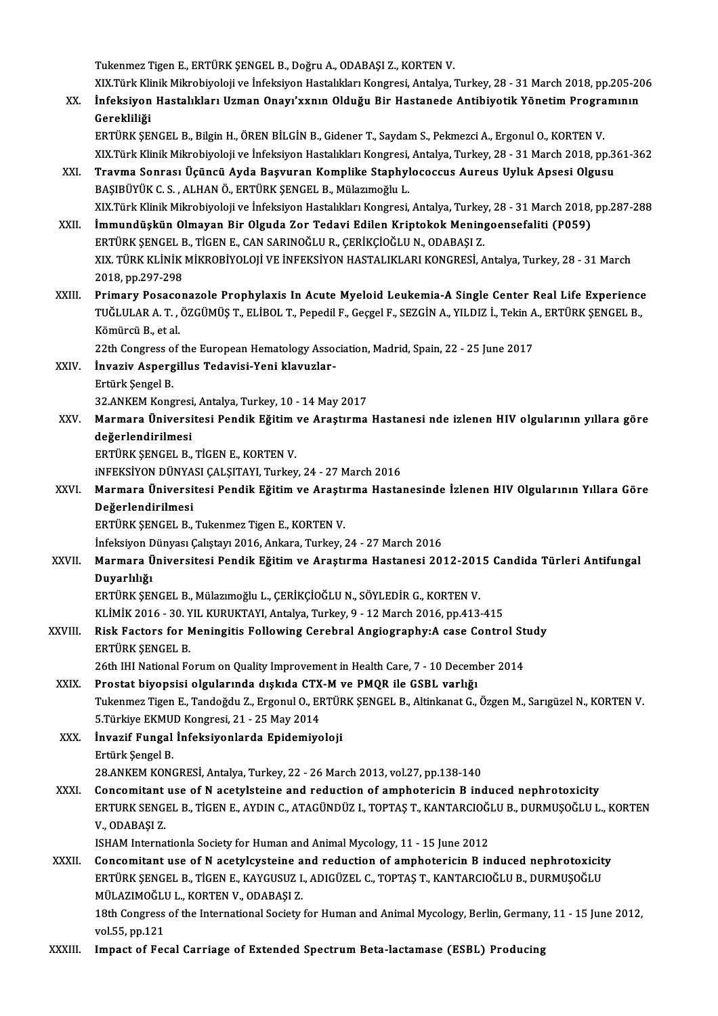Tukenmez Tigen E., ERTÜRK ŞENGEL B., Doğru A., ODABAŞI Z., KORTEN V.

Tukenmez Tigen E., ERTÜRK ŞENGEL B., Doğru A., ODABAŞI Z., KORTEN V.<br>XIX.Türk Klinik Mikrobiyoloji ve İnfeksiyon Hastalıkları Kongresi, Antalya, Turkey, 28 - 31 March 2018, pp.205-206<br>İnfeksiyon Hastalıkları Haman Onaw'yun Tukenmez Tigen E., ERTÜRK ŞENGEL B., Doğru A., ODABAŞI Z., KORTEN V.<br>XIX.Türk Klinik Mikrobiyoloji ve İnfeksiyon Hastalıkları Kongresi, Antalya, Turkey, 28 - 31 March 2018, pp.205-20<br>Canakilik Yönetim Programının Canakilik XIX.Türk Kli<br>İnfeksiyon<br>Gerekliliği<br>EPTÜPK SE

İnfeksiyon Hastalıkları Uzman Onayı'xxnın Olduğu Bir Hastanede Antibiyotik Yönetim Progra<br>Gerekliliği<br>ERTÜRK ŞENGEL B., Bilgin H., ÖREN BİLGİN B., Gidener T., Saydam S., Pekmezci A., Ergonul O., KORTEN V.<br>YIV Türk Klinik M Gerekliliği<br>ERTÜRK ŞENGEL B., Bilgin H., ÖREN BİLGİN B., Gidener T., Saydam S., Pekmezci A., Ergonul O., KORTEN V.<br>XIX.Türk Klinik Mikrobiyoloji ve İnfeksiyon Hastalıkları Kongresi, Antalya, Turkey, 28 - 31 March 2018, pp. ERTÜRK ŞENGEL B., Bilgin H., ÖREN BİLGİN B., Gidener T., Saydam S., Pekmezci A., Ergonul O., KORTEN V.<br>XIX.Türk Klinik Mikrobiyoloji ve İnfeksiyon Hastalıkları Kongresi, Antalya, Turkey, 28 - 31 March 2018, pp.3<br>XXI. Travm

XIX.Türk Klinik Mikrobiyoloji ve İnfeksiyon Hastalıkları Kongresi,<br>Travma Sonrası Üçüncü Ayda Başvuran Komplike Staphyl<br>BAŞIBÜYÜK C. S. , ALHAN Ö., ERTÜRK ŞENGEL B., Mülazımoğlu L.<br>YIV Türk Klinik Mikrobiyoloji ve İnfeksiy BAŞIBÜYÜK C. S. , ALHAN Ö., ERTÜRK ŞENGEL B., Mülazımoğlu L.<br>XIX.Türk Klinik Mikrobiyoloji ve İnfeksiyon Hastalıkları Kongresi, Antalya, Turkey, 28 - 31 March 2018, pp.287-288 BAŞIBÜYÜK C. S. , ALHAN Ö., ERTÜRK ŞENGEL B., Mülazımoğlu L.<br>XIX.Türk Klinik Mikrobiyoloji ve İnfeksiyon Hastalıkları Kongresi, Antalya, Turkey, 28 - 31 March 2018,<br>XXII. İmmundüşkün Olmayan Bir Olguda Zor Tedavi Edile

XIX.Türk Klinik Mikrobiyoloji ve İnfeksiyon Hastalıkları Kongresi, Antalya, Turkey<br>İmmundüşkün Olmayan Bir Olguda Zor Tedavi Edilen Kriptokok Menin<sub>i</sub><br>ERTÜRK ŞENGEL B., TİGEN E., CAN SARINOĞLU R., ÇERİKÇİOĞLU N., ODABAŞI Z İmmundüşkün Olmayan Bir Olguda Zor Tedavi Edilen Kriptokok Meningoensefaliti (P059)<br>ERTÜRK ŞENGEL B., TİGEN E., CAN SARINOĞLU R., ÇERİKÇİOĞLU N., ODABAŞI Z.<br>XIX. TÜRK KLİNİK MİKROBİYOLOJİ VE İNFEKSİYON HASTALIKLARI KONGRES ERTÜRK ŞENGEL B., TİGEN E., CAN SARINOĞLU R., ÇERİKÇİOĞLU N., ODABAŞI Z.<br>XIX. TÜRK KLİNİK MİKROBİYOLOJİ VE İNFEKSİYON HASTALIKLARI KONGRESİ, Antalya, Turkey, 28 - 31 March<br>2018, pp.297-298 XIX. TÜRK KLİNİK MİKROBİYOLOJİ VE İNFEKSİYON HASTALIKLARI KONGRESİ, Antalya, Turkey, 28 - 31 March<br>2018, pp.297-298<br>XXIII. Primary Posaconazole Prophylaxis In Acute Myeloid Leukemia-A Single Center Real Life Experience<br>TUĞ

2018, pp.297-298<br>Primary Posaconazole Prophylaxis In Acute Myeloid Leukemia-A Single Center Real Life Experience<br>TUĞLULAR A. T. , ÖZGÜMÜŞ T., ELİBOL T., Pepedil F., Geçgel F., SEZGİN A., YILDIZ İ., Tekin A., ERTÜRK ŞENGEL Pri<mark>mary Posaco</mark><br>TUĞLULAR A. T. ,<br>Kömürcü B., et al.<br><sup>22th</sup> Congress of TUĞLULAR A. T. , ÖZGÜMÜŞ T., ELİBOL T., Pepedil F., Geçgel F., SEZGİN A., YILDIZ İ., Tekin A., ERTÜRK ŞENGEL B.,<br>Kömürcü B., et al.

22th Congress of the European Hematology Association, Madrid, Spain, 22 - 25 June 2017

XXIV. İnvaziv Aspergillus Tedavisi-Yeni klavuzlar-<br>Ertürk Şengel B. İnvaziv Aspergillus Tedavisi-Yeni klavuzlar-<br>Ertürk Şengel B.<br>32.ANKEM Kongresi, Antalya, Turkey, 10 - 14 May 2017<br>Marmara Üniversitesi Bandik Eğitim ve Anastuma

XXV. Marmara Üniversitesi Pendik Eğitim ve Araştırma Hastanesi nde izlenen HIV olgularının yıllara göre<br>değerlendirilmesi 32.ANKEM Kongresi<br>Marmara Üniversi<br>değerlendirilmesi<br>EPTÜPK SENCEL B değerlendirilmesi<br>ERTÜRK ŞENGEL B., TİGEN E., KORTEN V.<br>iNFEKSİYON DÜNYASI ÇALŞITAYI, Turkey, 24 - 27 March 2016<br>Marmara Üniversitesi Bandik Eğitim ve Arasturma Hasta

ERTÜRK ŞENGEL B., TİGEN E., KORTEN V.

ERTÜRK ŞENGEL B., TİGEN E., KORTEN V.<br>iNFEKSİYON DÜNYASI ÇALŞITAYI, Turkey, 24 - 27 March 2016<br>XXVI. Marmara Üniversitesi Pendik Eğitim ve Araştırma Hastanesinde İzlenen HIV Olgularının Yıllara Göre<br>Değerlendirilmesi iNFEKSİYON DÜNYA<br>Marmara Üniversi<br>Değerlendirilmesi<br>EPTÜPK SENCEL B Marmara Üniversitesi Pendik Eğitim ve Araştı<br>Değerlendirilmesi<br>ERTÜRK ŞENGEL B., Tukenmez Tigen E., KORTEN V.<br>İnfeksiven Dünyası Celistavı 2016, Ankara Turkey Değerlendirilmesi<br>İnfeksiyon Dünyası Çalıştayı 2016, Ankara, Turkey, 24 - 27 March 2016<br>İnfeksiyon Dünyası Çalıştayı 2016, Ankara, Turkey, 24 - 27 March 2016

## ERTÜRK ŞENGEL B., Tukenmez Tigen E., KORTEN V.<br>İnfeksiyon Dünyası Çalıştayı 2016, Ankara, Turkey, 24 - 27 March 2016<br>XXVII. Marmara Üniversitesi Pendik Eğitim ve Araştırma Hastanesi 2012-2015 Candida Türleri Antifungal İnfeksiyon D<br>Marmara Ü<br>Duyarlılığı<br>EPTÜPK SEN Marmara Üniversitesi Pendik Eğitim ve Araştırma Hastanesi 2012-201<br>Duyarlılığı<br>ERTÜRK ŞENGEL B., Mülazımoğlu L., ÇERİKÇİOĞLU N., SÖYLEDİR G., KORTEN V.<br>11 Mik 2016 - 20 YU KURUKTAYL Antakıa Turkay 9 - 12 Marsh 2016 an 412 Duyarlılığı<br>ERTÜRK ŞENGEL B., Mülazımoğlu L., ÇERİKÇİOĞLU N., SÖYLEDİR G., KORTEN V.<br>KLİMİK 2016 - 30. YIL KURUKTAYI, Antalya, Turkey, 9 - 12 March 2016, pp.413-415<br>Bisk Fasters for Moningitis Following Corebral Angiegraph

ERTÜRK ŞENGEL B., Mülazımoğlu L., ÇERİKÇİOĞLU N., SÖYLEDİR G., KORTEN V.<br>KLİMİK 2016 - 30. YIL KURUKTAYI, Antalya, Turkey, 9 - 12 March 2016, pp.413-415<br>XXVIII. Risk Factors for Meningitis Following Cerebral Angiography:A KLİMİK 2016 - 30. Y<br>Risk Factors for N<br>ERTÜRK ŞENGEL B.<br>26th III National Eq Risk Factors for Meningitis Following Cerebral Angiography:A case Control Study<br>ERTÜRK ŞENGEL B.<br>26th IHI National Forum on Quality Improvement in Health Care, 7 - 10 December 2014

XXIX. Prostat biyopsisi olgularında dışkıda CTX-M ve PMQR ile GSBL varlığı Tukenmez Tigen E., Tandoğdu Z., Ergonul O., ERTÜRK ŞENGEL B., Altinkanat G., Özgen M., Sarıgüzel N., KORTEN V. Prostat biyopsisi olgularında dışkıda CTX<br>Tukenmez Tigen E., Tandoğdu Z., Ergonul O., EF<br>5.Türkiye EKMUD Kongresi, 21 - 25 May 2014<br>İnvazif Eungal İnfaksiyonlarda Enidemiye

XXX. İnvazif Fungal İnfeksiyonlarda Epidemiyoloji 5.Türkiye EKMU<br>İ<mark>nvazif Fungal</mark><br>Ertürk Şengel B.<br>29 ANKEM KONG 28.ANKEM KONGRESİ, Antalya, Turkey, 22 - 26 March 2013, vol.27, pp.138-140

Ertürk Şengel B.<br>28.ANKEM KONGRESİ, Antalya, Turkey, 22 - 26 March 2013, vol.27, pp.138-140<br>XXXI. Concomitant use of N acetylsteine and reduction of amphotericin B induced nephrotoxicity<br>ERTURK SENGEL B. TIGEN E. AVDIN G. 28.ANKEM KONGRESİ, Antalya, Turkey, 22 - 26 March 2013, vol.27, pp.138-140<br>Concomitant use of N acetylsteine and reduction of amphotericin B induced nephrotoxicity<br>ERTURK SENGEL B., TİGEN E., AYDIN C., ATAGÜNDÜZ I., TOPTAŞ Concomitant<br>ERTURK SENGI<br>V., ODABAŞI Z.<br>ISHAM Interna ERTURK SENGEL B., TİGEN E., AYDIN C., ATAGÜNDÜZ I., TOPTAŞ T., KANTARCIOĞ!<br>V., ODABAŞI Z.<br>ISHAM Internationla Society for Human and Animal Mycology, 11 - 15 June 2012<br>Concemitant use of N asetylevsteine and reduction of am V., ODABAŞI Z.<br>ISHAM Internationla Society for Human and Animal Mycology, 11 - 15 June 2012<br>XXXII. Concomitant use of N acetylcysteine and reduction of amphotericin B induced nephrotoxicity

ISHAM Internationla Society for Human and Animal Mycology, 11 - 15 June 2012<br>Concomitant use of N acetylcysteine and reduction of amphotericin B induced nephrotoxicit<br>ERTÜRK ŞENGEL B., TİGEN E., KAYGUSUZ I., ADIGÜZEL C., T Concomitant use of N acetylcysteine a<br>ERTÜRK ŞENGEL B., TİGEN E., KAYGUSUZ I.<br>MÜLAZIMOĞLU L., KORTEN V., ODABAŞI Z.<br>18th Congress of the International Society. ERTÜRK ŞENGEL B., TİGEN E., KAYGUSUZ I., ADIGÜZEL C., TOPTAŞ T., KANTARCIOĞLU B., DURMUŞOĞLU<br>MÜLAZIMOĞLU L., KORTEN V., ODABAŞI Z.<br>18th Congress of the International Society for Human and Animal Mycology, Berlin, Germany, MÜLAZIMOĞLU L., KORTEN V., ODABAŞI Z.<br>18th Congress of the International Society for Human and Animal Mycology, Berlin, Germany, 11 - 15 June 2012,<br>vol.55, pp.121

XXXIII. Impact of Fecal Carriage of Extended Spectrum Beta-lactamase (ESBL) Producing